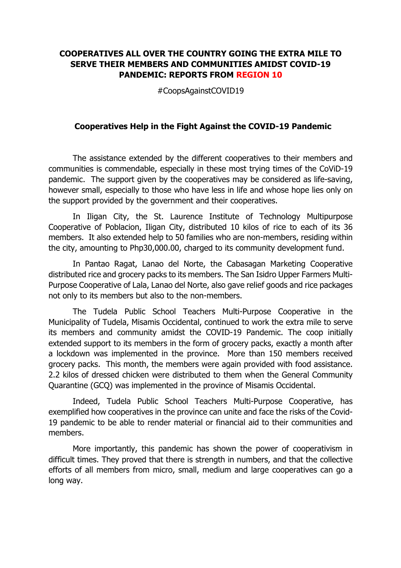## **COOPERATIVES ALL OVER THE COUNTRY GOING THE EXTRA MILE TO SERVE THEIR MEMBERS AND COMMUNITIES AMIDST COVID-19 PANDEMIC: REPORTS FROM REGION 10**

#CoopsAgainstCOVID19

## **Cooperatives Help in the Fight Against the COVID-19 Pandemic**

The assistance extended by the different cooperatives to their members and communities is commendable, especially in these most trying times of the CoViD-19 pandemic. The support given by the cooperatives may be considered as life-saving, however small, especially to those who have less in life and whose hope lies only on the support provided by the government and their cooperatives.

In Iligan City, the St. Laurence Institute of Technology Multipurpose Cooperative of Poblacion, Iligan City, distributed 10 kilos of rice to each of its 36 members. It also extended help to 50 families who are non-members, residing within the city, amounting to Php30,000.00, charged to its community development fund.

In Pantao Ragat, Lanao del Norte, the Cabasagan Marketing Cooperative distributed rice and grocery packs to its members. The San Isidro Upper Farmers Multi-Purpose Cooperative of Lala, Lanao del Norte, also gave relief goods and rice packages not only to its members but also to the non-members.

The Tudela Public School Teachers Multi-Purpose Cooperative in the Municipality of Tudela, Misamis Occidental, continued to work the extra mile to serve its members and community amidst the COVID-19 Pandemic. The coop initially extended support to its members in the form of grocery packs, exactly a month after a lockdown was implemented in the province. More than 150 members received grocery packs. This month, the members were again provided with food assistance. 2.2 kilos of dressed chicken were distributed to them when the General Community Quarantine (GCQ) was implemented in the province of Misamis Occidental.

Indeed, Tudela Public School Teachers Multi-Purpose Cooperative, has exemplified how cooperatives in the province can unite and face the risks of the Covid-19 pandemic to be able to render material or financial aid to their communities and members.

More importantly, this pandemic has shown the power of cooperativism in difficult times. They proved that there is strength in numbers, and that the collective efforts of all members from micro, small, medium and large cooperatives can go a long way.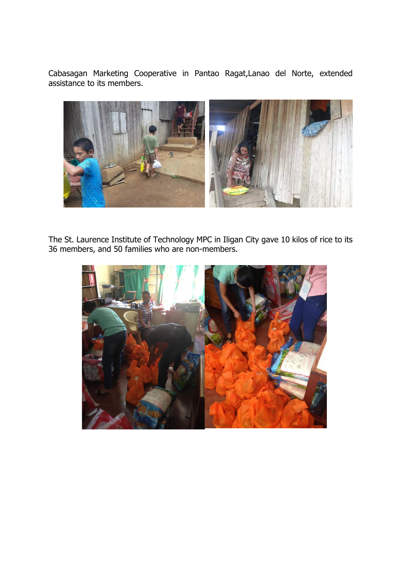Cabasagan Marketing Cooperative in Pantao Ragat,Lanao del Norte, extended assistance to its members.



The St. Laurence Institute of Technology MPC in Iligan City gave 10 kilos of rice to its 36 members, and 50 families who are non-members.